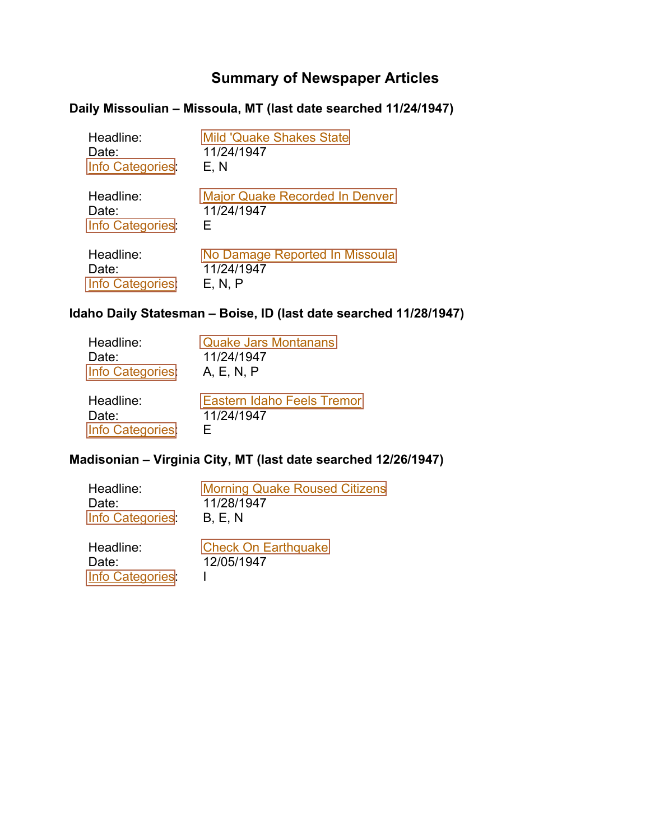# **Summary of Newspaper Articles**

## <span id="page-0-0"></span>**Daily Missoulian – Missoula, MT (last date searched 11/24/1947)**

| Headline:        | <b>Mild 'Quake Shakes State</b>       |
|------------------|---------------------------------------|
| Date:            | 11/24/1947                            |
| Info Categories  | E, N                                  |
| Headline:        | <b>Major Quake Recorded In Denver</b> |
| Date:            | 11/24/1947                            |
| Info Categories  | F                                     |
| Headline:        | No Damage Reported In Missoula        |
| Date:            | 11/24/1947                            |
| Info Categories: | E. N. P                               |

# **Idaho Daily Statesman – Boise, ID (last date searched 11/28/1947)**

| Headline:       | <b>Quake Jars Montanans</b>       |
|-----------------|-----------------------------------|
| Date:           | 11/24/1947                        |
| Info Categories | A, E, N, P                        |
| Headline:       | <b>Eastern Idaho Feels Tremor</b> |
| Date:           | 11/24/1947                        |
| Info Categories | ⊢                                 |

## **Madisonian – Virginia City, MT (last date searched 12/26/1947)**

| Headline:       | <b>Morning Quake Roused Citizens</b> |
|-----------------|--------------------------------------|
| Date:           | 11/28/1947                           |
| Info Categories | <b>B. E. N</b>                       |
|                 |                                      |

| Headline:       | <b>Check On Earthquake</b> |
|-----------------|----------------------------|
| Date:           | 12/05/1947                 |
| Info Categories |                            |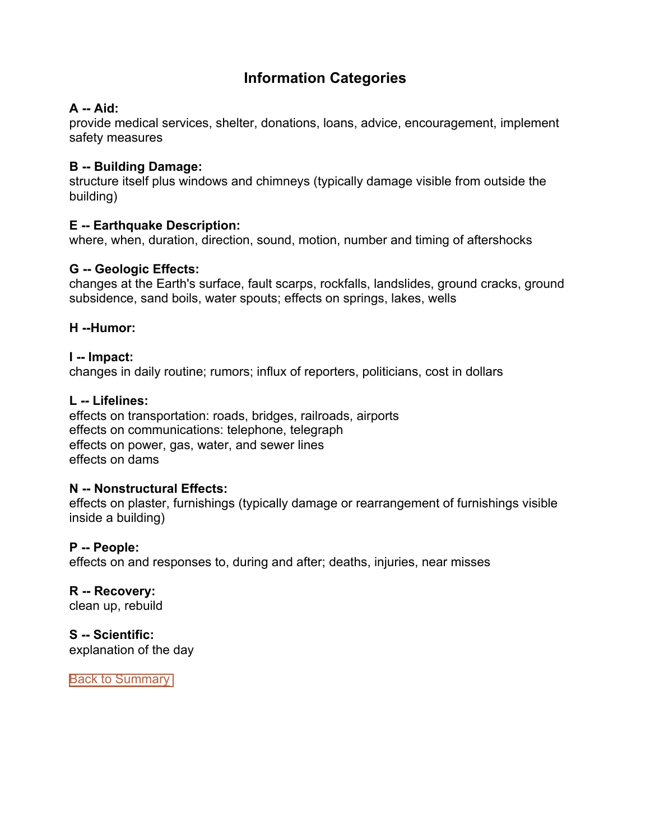# **Information Categories**

## <span id="page-1-0"></span>**A -- Aid:**

provide medical services, shelter, donations, loans, advice, encouragement, implement safety measures

#### **B -- Building Damage:**

structure itself plus windows and chimneys (typically damage visible from outside the building)

## **E -- Earthquake Description:**

where, when, duration, direction, sound, motion, number and timing of aftershocks

## **G -- Geologic Effects:**

changes at the Earth's surface, fault scarps, rockfalls, landslides, ground cracks, ground subsidence, sand boils, water spouts; effects on springs, lakes, wells

## **H --Humor:**

#### **I -- Impact:** changes in daily routine; rumors; influx of reporters, politicians, cost in dollars

#### **L -- Lifelines:**

effects on transportation: roads, bridges, railroads, airports effects on communications: telephone, telegraph effects on power, gas, water, and sewer lines effects on dams

## **N -- Nonstructural Effects:**

effects on plaster, furnishings (typically damage or rearrangement of furnishings visible inside a building)

## **P -- People:**

effects on and responses to, during and after; deaths, injuries, near misses

**R -- Recovery:** clean up, rebuild

**S -- Scientific:** explanation of the day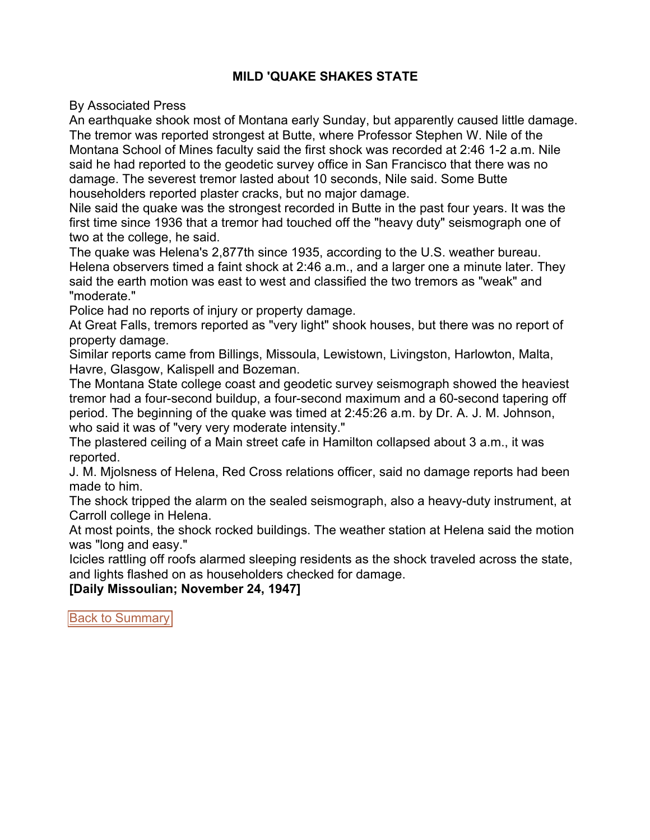## **MILD 'QUAKE SHAKES STATE**

<span id="page-2-0"></span>By Associated Press

An earthquake shook most of Montana early Sunday, but apparently caused little damage. The tremor was reported strongest at Butte, where Professor Stephen W. Nile of the Montana School of Mines faculty said the first shock was recorded at 2:46 1-2 a.m. Nile said he had reported to the geodetic survey office in San Francisco that there was no damage. The severest tremor lasted about 10 seconds, Nile said. Some Butte householders reported plaster cracks, but no major damage.

Nile said the quake was the strongest recorded in Butte in the past four years. It was the first time since 1936 that a tremor had touched off the "heavy duty" seismograph one of two at the college, he said.

The quake was Helena's 2,877th since 1935, according to the U.S. weather bureau. Helena observers timed a faint shock at 2:46 a.m., and a larger one a minute later. They said the earth motion was east to west and classified the two tremors as "weak" and "moderate."

Police had no reports of injury or property damage.

At Great Falls, tremors reported as "very light" shook houses, but there was no report of property damage.

Similar reports came from Billings, Missoula, Lewistown, Livingston, Harlowton, Malta, Havre, Glasgow, Kalispell and Bozeman.

The Montana State college coast and geodetic survey seismograph showed the heaviest tremor had a four-second buildup, a four-second maximum and a 60-second tapering off period. The beginning of the quake was timed at 2:45:26 a.m. by Dr. A. J. M. Johnson, who said it was of "very very moderate intensity."

The plastered ceiling of a Main street cafe in Hamilton collapsed about 3 a.m., it was reported.

J. M. Mjolsness of Helena, Red Cross relations officer, said no damage reports had been made to him.

The shock tripped the alarm on the sealed seismograph, also a heavy-duty instrument, at Carroll college in Helena.

At most points, the shock rocked buildings. The weather station at Helena said the motion was "long and easy."

Icicles rattling off roofs alarmed sleeping residents as the shock traveled across the state, and lights flashed on as householders checked for damage.

**[Daily Missoulian; November 24, 1947]**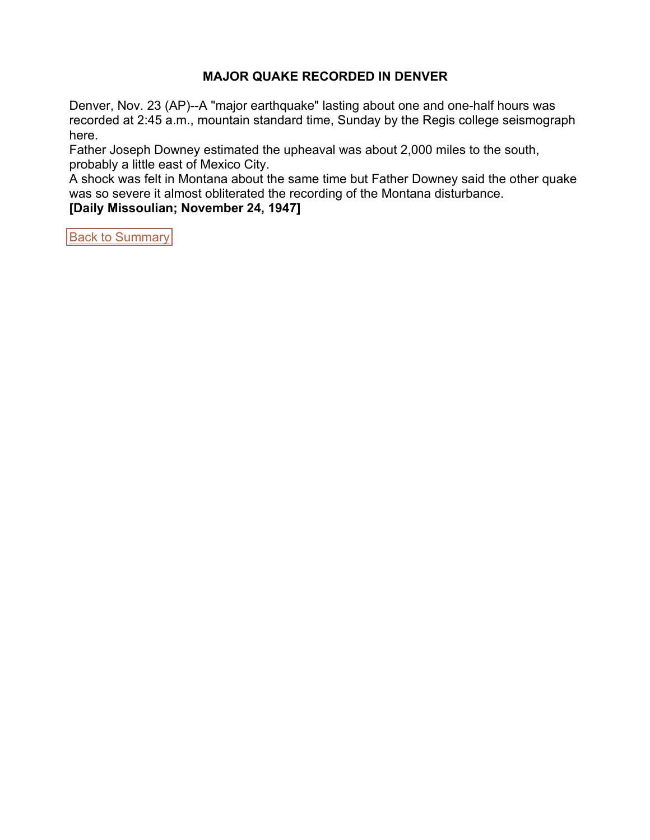#### **MAJOR QUAKE RECORDED IN DENVER**

<span id="page-3-0"></span>Denver, Nov. 23 (AP)--A "major earthquake" lasting about one and one-half hours was recorded at 2:45 a.m., mountain standard time, Sunday by the Regis college seismograph here.

Father Joseph Downey estimated the upheaval was about 2,000 miles to the south, probably a little east of Mexico City.

A shock was felt in Montana about the same time but Father Downey said the other quake was so severe it almost obliterated the recording of the Montana disturbance.

**[Daily Missoulian; November 24, 1947]**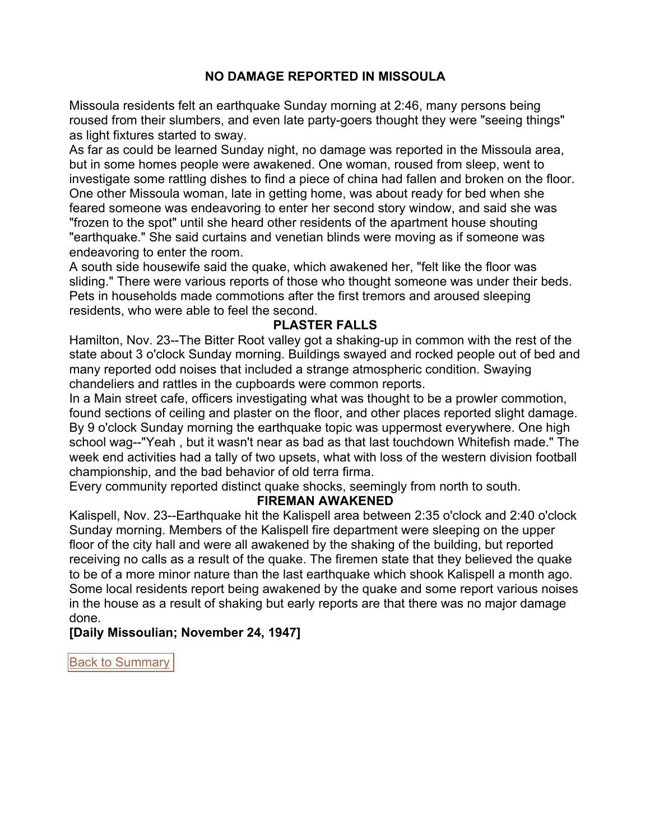## **NO DAMAGE REPORTED IN MISSOULA**

<span id="page-4-0"></span>Missoula residents felt an earthquake Sunday morning at 2:46, many persons being roused from their slumbers, and even late party-goers thought they were "seeing things" as light fixtures started to sway.

As far as could be learned Sunday night, no damage was reported in the Missoula area, but in some homes people were awakened. One woman, roused from sleep, went to investigate some rattling dishes to find a piece of china had fallen and broken on the floor. One other Missoula woman, late in getting home, was about ready for bed when she feared someone was endeavoring to enter her second story window, and said she was "frozen to the spot" until she heard other residents of the apartment house shouting "earthquake." She said curtains and venetian blinds were moving as if someone was endeavoring to enter the room.

A south side housewife said the quake, which awakened her, "felt like the floor was sliding." There were various reports of those who thought someone was under their beds. Pets in households made commotions after the first tremors and aroused sleeping residents, who were able to feel the second.

#### **PLASTER FALLS**

Hamilton, Nov. 23--The Bitter Root valley got a shaking-up in common with the rest of the state about 3 o'clock Sunday morning. Buildings swayed and rocked people out of bed and many reported odd noises that included a strange atmospheric condition. Swaying chandeliers and rattles in the cupboards were common reports.

In a Main street cafe, officers investigating what was thought to be a prowler commotion, found sections of ceiling and plaster on the floor, and other places reported slight damage. By 9 o'clock Sunday morning the earthquake topic was uppermost everywhere. One high school wag--"Yeah , but it wasn't near as bad as that last touchdown Whitefish made." The week end activities had a tally of two upsets, what with loss of the western division football championship, and the bad behavior of old terra firma.

Every community reported distinct quake shocks, seemingly from north to south.

#### **FIREMAN AWAKENED**

Kalispell, Nov. 23--Earthquake hit the Kalispell area between 2:35 o'clock and 2:40 o'clock Sunday morning. Members of the Kalispell fire department were sleeping on the upper floor of the city hall and were all awakened by the shaking of the building, but reported receiving no calls as a result of the quake. The firemen state that they believed the quake to be of a more minor nature than the last earthquake which shook Kalispell a month ago. Some local residents report being awakened by the quake and some report various noises in the house as a result of shaking but early reports are that there was no major damage done.

**[Daily Missoulian; November 24, 1947]**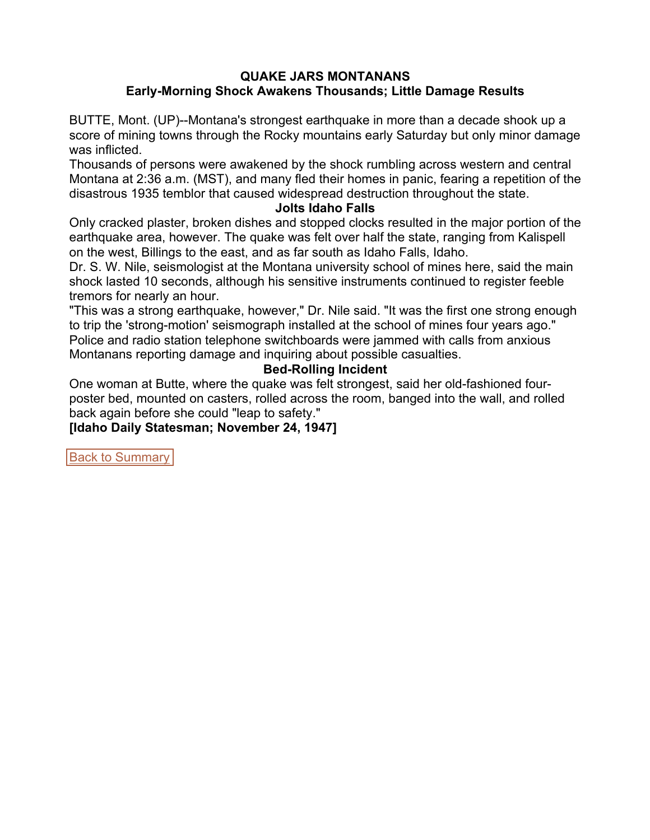#### **QUAKE JARS MONTANANS Early-Morning Shock Awakens Thousands; Little Damage Results**

<span id="page-5-0"></span>BUTTE, Mont. (UP)--Montana's strongest earthquake in more than a decade shook up a score of mining towns through the Rocky mountains early Saturday but only minor damage was inflicted.

Thousands of persons were awakened by the shock rumbling across western and central Montana at 2:36 a.m. (MST), and many fled their homes in panic, fearing a repetition of the disastrous 1935 temblor that caused widespread destruction throughout the state.

#### **Jolts Idaho Falls**

Only cracked plaster, broken dishes and stopped clocks resulted in the major portion of the earthquake area, however. The quake was felt over half the state, ranging from Kalispell on the west, Billings to the east, and as far south as Idaho Falls, Idaho.

Dr. S. W. Nile, seismologist at the Montana university school of mines here, said the main shock lasted 10 seconds, although his sensitive instruments continued to register feeble tremors for nearly an hour.

"This was a strong earthquake, however," Dr. Nile said. "It was the first one strong enough to trip the 'strong-motion' seismograph installed at the school of mines four years ago." Police and radio station telephone switchboards were jammed with calls from anxious Montanans reporting damage and inquiring about possible casualties.

#### **Bed-Rolling Incident**

One woman at Butte, where the quake was felt strongest, said her old-fashioned fourposter bed, mounted on casters, rolled across the room, banged into the wall, and rolled back again before she could "leap to safety."

**[Idaho Daily Statesman; November 24, 1947]**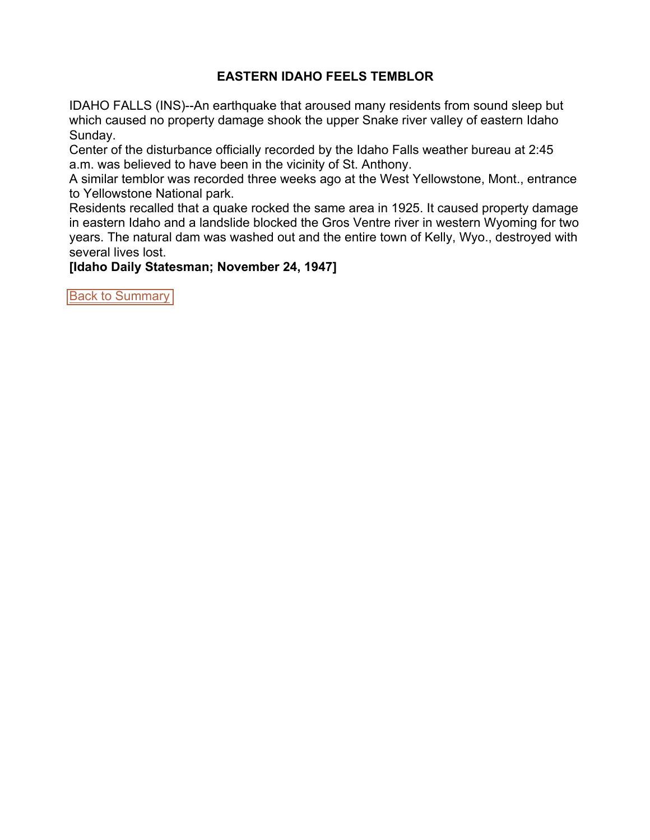## **EASTERN IDAHO FEELS TEMBLOR**

<span id="page-6-0"></span>IDAHO FALLS (INS)--An earthquake that aroused many residents from sound sleep but which caused no property damage shook the upper Snake river valley of eastern Idaho Sunday.

Center of the disturbance officially recorded by the Idaho Falls weather bureau at 2:45 a.m. was believed to have been in the vicinity of St. Anthony.

A similar temblor was recorded three weeks ago at the West Yellowstone, Mont., entrance to Yellowstone National park.

Residents recalled that a quake rocked the same area in 1925. It caused property damage in eastern Idaho and a landslide blocked the Gros Ventre river in western Wyoming for two years. The natural dam was washed out and the entire town of Kelly, Wyo., destroyed with several lives lost.

**[Idaho Daily Statesman; November 24, 1947]**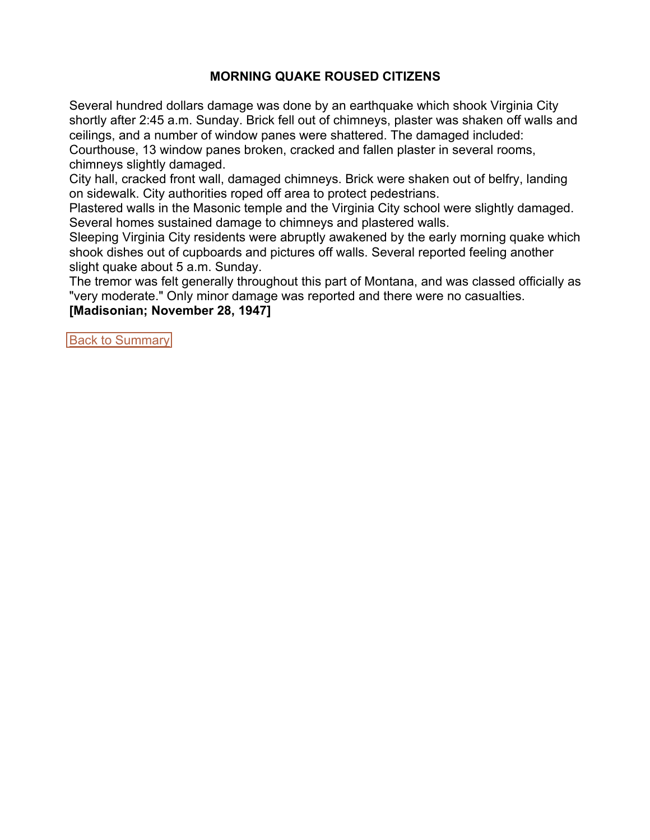## **MORNING QUAKE ROUSED CITIZENS**

<span id="page-7-0"></span>Several hundred dollars damage was done by an earthquake which shook Virginia City shortly after 2:45 a.m. Sunday. Brick fell out of chimneys, plaster was shaken off walls and ceilings, and a number of window panes were shattered. The damaged included:

Courthouse, 13 window panes broken, cracked and fallen plaster in several rooms, chimneys slightly damaged.

City hall, cracked front wall, damaged chimneys. Brick were shaken out of belfry, landing on sidewalk. City authorities roped off area to protect pedestrians.

Plastered walls in the Masonic temple and the Virginia City school were slightly damaged. Several homes sustained damage to chimneys and plastered walls.

Sleeping Virginia City residents were abruptly awakened by the early morning quake which shook dishes out of cupboards and pictures off walls. Several reported feeling another slight quake about 5 a.m. Sunday.

The tremor was felt generally throughout this part of Montana, and was classed officially as "very moderate." Only minor damage was reported and there were no casualties.

**[Madisonian; November 28, 1947]**